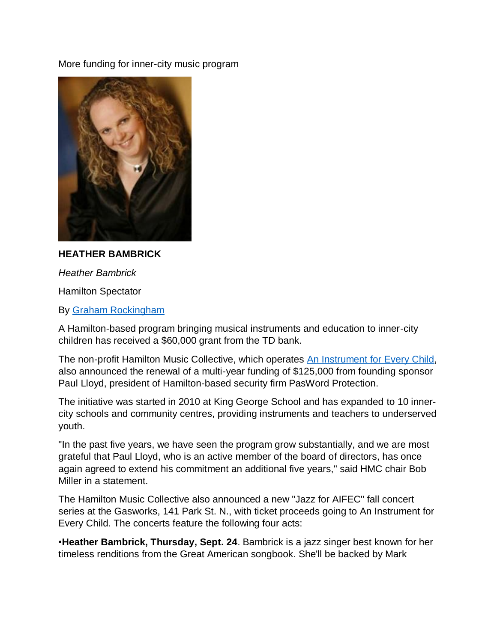More funding for inner-city music program



## **HEATHER BAMBRICK**

*Heather Bambrick*

Hamilton Spectator

By [Graham Rockingham](http://www.thespec.com/hamilton-author/graham-rockingham/2ff0c27b-0289-4232-b726-e66cc72b7897)

A Hamilton-based program bringing musical instruments and education to inner-city children has received a \$60,000 grant from the TD bank.

The non-profit Hamilton Music Collective, which operates [An Instrument for Every Child,](https://aninstrumentforeverychild.ca/) also announced the renewal of a multi-year funding of \$125,000 from founding sponsor Paul Lloyd, president of Hamilton-based security firm PasWord Protection.

The initiative was started in 2010 at King George School and has expanded to 10 innercity schools and community centres, providing instruments and teachers to underserved youth.

"In the past five years, we have seen the program grow substantially, and we are most grateful that Paul Lloyd, who is an active member of the board of directors, has once again agreed to extend his commitment an additional five years," said HMC chair Bob Miller in a statement.

The Hamilton Music Collective also announced a new "Jazz for AIFEC" fall concert series at the Gasworks, 141 Park St. N., with ticket proceeds going to An Instrument for Every Child. The concerts feature the following four acts:

•**Heather Bambrick, Thursday, Sept. 24**. Bambrick is a jazz singer best known for her timeless renditions from the Great American songbook. She'll be backed by Mark